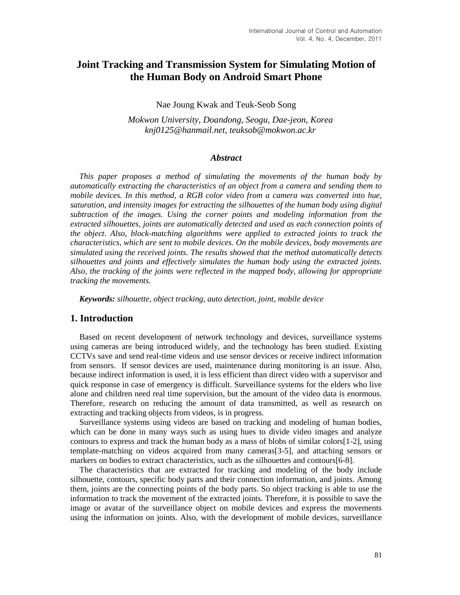# **Joint Tracking and Transmission System for Simulating Motion of the Human Body on Android Smart Phone**

Nae Joung Kwak and Teuk-Seob Song

*Mokwon University, Doandong, Seogu, Dae-jeon, Korea knj0125@hanmail.net, teuksob@mokwon.ac.kr* 

#### *Abstract*

*This paper proposes a method of simulating the movements of the human body by automatically extracting the characteristics of an object from a camera and sending them to mobile devices. In this method, a RGB color video from a camera was converted into hue, saturation, and intensity images for extracting the silhouettes of the human body using digital subtraction of the images. Using the corner points and modeling information from the extracted silhouettes, joints are automatically detected and used as each connection points of the object. Also, block-matching algorithms were applied to extracted joints to track the characteristics, which are sent to mobile devices. On the mobile devices, body movements are simulated using the received joints. The results showed that the method automatically detects silhouettes and joints and effectively simulates the human body using the extracted joints. Also, the tracking of the joints were reflected in the mapped body, allowing for appropriate tracking the movements.* 

*Keywords: silhouette, object tracking, auto detection, joint, mobile device*

## **1. Introduction**

Based on recent development of network technology and devices, surveillance systems using cameras are being introduced widely, and the technology has been studied. Existing CCTVs save and send real-time videos and use sensor devices or receive indirect information from sensors. If sensor devices are used, maintenance during monitoring is an issue. Also, because indirect information is used, it is less efficient than direct video with a supervisor and quick response in case of emergency is difficult. Surveillance systems for the elders who live alone and children need real time supervision, but the amount of the video data is enormous. Therefore, research on reducing the amount of data transmitted, as well as research on extracting and tracking objects from videos, is in progress.

Surveillance systems using videos are based on tracking and modeling of human bodies, which can be done in many ways such as using hues to divide video images and analyze contours to express and track the human body as a mass of blobs of similar colors[1-2], using template-matching on videos acquired from many cameras[3-5], and attaching sensors or markers on bodies to extract characteristics, such as the silhouettes and contours[6-8].

The characteristics that are extracted for tracking and modeling of the body include silhouette, contours, specific body parts and their connection information, and joints. Among them, joints are the connecting points of the body parts. So object tracking is able to use the information to track the movement of the extracted joints. Therefore, it is possible to save the image or avatar of the surveillance object on mobile devices and express the movements using the information on joints. Also, with the development of mobile devices, surveillance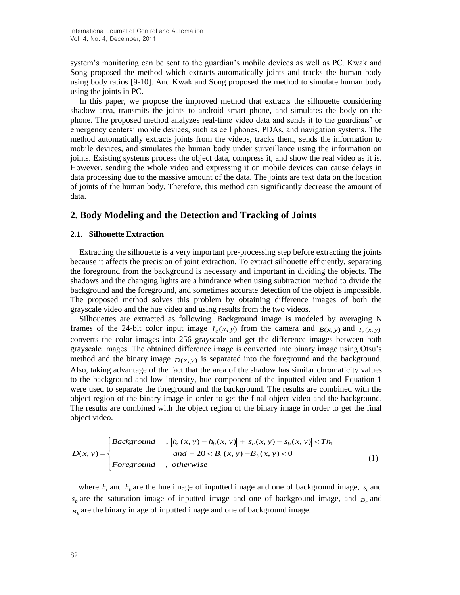system's monitoring can be sent to the guardian's mobile devices as well as PC. Kwak and Song proposed the method which extracts automatically joints and tracks the human body using body ratios [9-10]. And Kwak and Song proposed the method to simulate human body using the joints in PC.

In this paper, we propose the improved method that extracts the silhouette considering shadow area, transmits the joints to android smart phone, and simulates the body on the phone. The proposed method analyzes real-time video data and sends it to the guardians' or emergency centers' mobile devices, such as cell phones, PDAs, and navigation systems. The method automatically extracts joints from the videos, tracks them, sends the information to mobile devices, and simulates the human body under surveillance using the information on joints. Existing systems process the object data, compress it, and show the real video as it is. However, sending the whole video and expressing it on mobile devices can cause delays in data processing due to the massive amount of the data. The joints are text data on the location of joints of the human body. Therefore, this method can significantly decrease the amount of data.

### **2. Body Modeling and the Detection and Tracking of Joints**

#### **2.1. Silhouette Extraction**

Extracting the silhouette is a very important pre-processing step before extracting the joints because it affects the precision of joint extraction. To extract silhouette efficiently, separating the foreground from the background is necessary and important in dividing the objects. The shadows and the changing lights are a hindrance when using subtraction method to divide the background and the foreground, and sometimes accurate detection of the object is impossible. The proposed method solves this problem by obtaining difference images of both the grayscale video and the hue video and using results from the two videos.

Silhouettes are extracted as following. Background image is modeled by averaging N frames of the 24-bit color input image  $I_c(x, y)$  from the camera and  $B(x, y)$  and  $I_c(x, y)$ converts the color images into 256 grayscale and get the difference images between both grayscale images. The obtained difference image is converted into binary image using Otsu's method and the binary image  $D(x, y)$  is separated into the foreground and the background. Also, taking advantage of the fact that the area of the shadow has similar chromaticity values to the background and low intensity, hue component of the inputted video and Equation 1 were used to separate the foreground and the background. The results are combined with the object region of the binary image in order to get the final object video and the background. The results are combined with the object region of the binary image in order to get the final object video.

object video.  
\n
$$
D(x, y) = \begin{cases}\n\text{Background} & , |h_c(x, y) - h_b(x, y)| + |s_c(x, y) - s_b(x, y)| < Th_1 \\
and -20 < B_c(x, y) - B_b(x, y) < 0 \\
\text{Foreground} & , \text{ otherwise}\n\end{cases} \tag{1}
$$

where  $h_c$  and  $h_b$  are the hue image of inputted image and one of background image,  $s_c$  and  $s_b$  are the saturation image of inputted image and one of background image, and  $B_c$  and  $B_b$  are the binary image of inputted image and one of background image.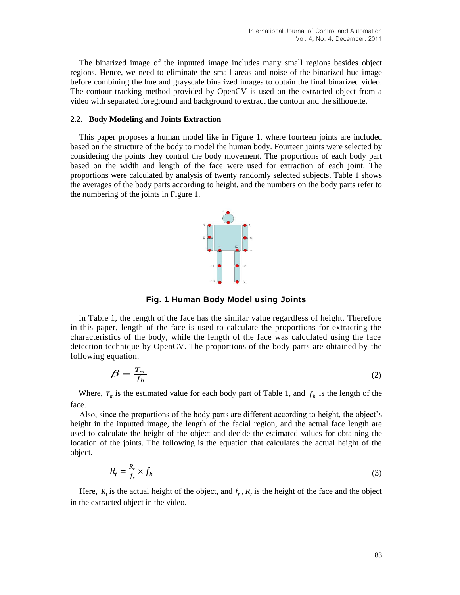The binarized image of the inputted image includes many small regions besides object regions. Hence, we need to eliminate the small areas and noise of the binarized hue image before combining the hue and grayscale binarized images to obtain the final binarized video. The contour tracking method provided by OpenCV is used on the extracted object from a video with separated foreground and background to extract the contour and the silhouette.

#### **2.2. Body Modeling and Joints Extraction**

This paper proposes a human model like in Figure 1, where fourteen joints are included based on the structure of the body to model the human body. Fourteen joints were selected by considering the points they control the body movement. The proportions of each body part based on the width and length of the face were used for extraction of each joint. The proportions were calculated by analysis of twenty randomly selected subjects. Table 1 shows the averages of the body parts according to height, and the numbers on the body parts refer to the numbering of the joints in Figure 1.



**Fig. 1 Human Body Model using Joints**

In Table 1, the length of the face has the similar value regardless of height. Therefore in this paper, length of the face is used to calculate the proportions for extracting the characteristics of the body, while the length of the face was calculated using the face detection technique by OpenCV. The proportions of the body parts are obtained by the following equation.

$$
\beta = \frac{T_m}{f_h} \tag{2}
$$

Where,  $T_m$  is the estimated value for each body part of Table 1, and  $f_h$  is the length of the face.

Also, since the proportions of the body parts are different according to height, the object's height in the inputted image, the length of the facial region, and the actual face length are used to calculate the height of the object and decide the estimated values for obtaining the location of the joints. The following is the equation that calculates the actual height of the object.

$$
R_t = \frac{R_r}{f_r} \times f_h \tag{3}
$$

Here,  $R_t$  is the actual height of the object, and  $f_r$ ,  $R_r$  is the height of the face and the object in the extracted object in the video.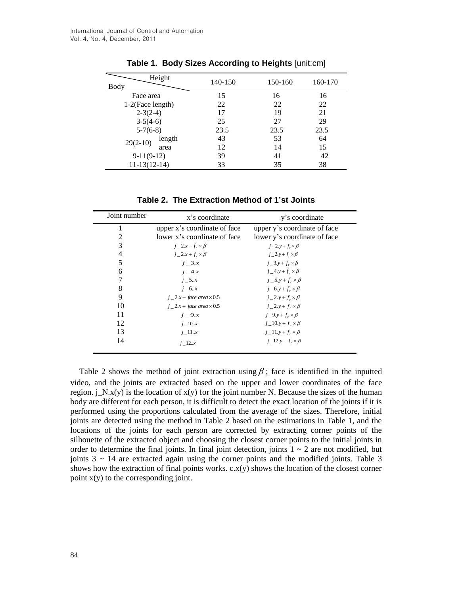| Height<br>Body      |        | 140-150 | 150-160 | 160-170 |
|---------------------|--------|---------|---------|---------|
| Face area           |        | 15      | 16      | 16      |
| $1-2$ (Face length) |        | 22      | 22      | 22      |
| $2-3(2-4)$          |        | 17      | 19      | 21      |
| $3-5(4-6)$          |        | 25      | 27      | 29      |
| $5-7(6-8)$          |        | 23.5    | 23.5    | 23.5    |
| $29(2-10)$          | length | 43      | 53      | 64      |
|                     | area   | 12      | 14      | 15      |
| $9-11(9-12)$        |        | 39      | 41      | 42      |
| $11-13(12-14)$      |        | 33      | 35      | 38      |

**Table 1. Body Sizes According to Heights** [unit:cm]

**Table 2. The Extraction Method of 1'st Joints**

| Joint number   | x's coordinate                     | y's coordinate                        |  |
|----------------|------------------------------------|---------------------------------------|--|
|                | upper x's coordinate of face       | upper y's coordinate of face          |  |
| 2              | lower x's coordinate of face       | lower y's coordinate of face          |  |
| 3              | $j_2x-f_r\times\beta$              | $j_2y+f_r\times\beta$                 |  |
| $\overline{4}$ | $j_2x+f_r\times\beta$              | $i_{-}2.y+f \times \beta$             |  |
| 5              | $i = 3.x$                          | $j_3 \rightarrow f_* \times \beta$    |  |
| 6              | $i = 4.x$                          | $j_4$ , $y_2 + f_r \times \beta$      |  |
|                | $i_{-}5.x$                         | $i_{-}5 \cdot y + f_{-} \times \beta$ |  |
| 8              | $i_{-}6.x$                         | $j_6$ , $y + f_r \times \beta$        |  |
| 9              | $j$ $2.x$ – face area $\times$ 0.5 | $i_{-}2.y+f_{-}\times\beta$           |  |
| 10             | $j$ $2.x + face$ area $\times$ 0.5 | $i = 2 \cdot y + f \times \beta$      |  |
| 11             | $j=9.x$                            | $i_{-}9.y + f_{*} \times \beta$       |  |
| 12             | $j$ $\_\ 10.x$                     | $j_1$ = 10.y + $f_r \times \beta$     |  |
| 13             | $j$ $\perp$ 11x                    | $j$ $\perp$ 11.y + $f \times \beta$   |  |
| 14             | $i \t12.x$                         | $j_1$ $12. y + f_x \times \beta$      |  |

Table 2 shows the method of joint extraction using  $\beta$ ; face is identified in the inputted video, and the joints are extracted based on the upper and lower coordinates of the face region.  $i_N(x)$  is the location of  $x(y)$  for the joint number N. Because the sizes of the human body are different for each person, it is difficult to detect the exact location of the joints if it is performed using the proportions calculated from the average of the sizes. Therefore, initial joints are detected using the method in Table 2 based on the estimations in Table 1, and the locations of the joints for each person are corrected by extracting corner points of the silhouette of the extracted object and choosing the closest corner points to the initial joints in order to determine the final joints. In final joint detection, joints  $1 \sim 2$  are not modified, but joints  $3 \sim 14$  are extracted again using the corner points and the modified joints. Table 3 shows how the extraction of final points works.  $c.x(y)$  shows the location of the closest corner point  $x(y)$  to the corresponding joint.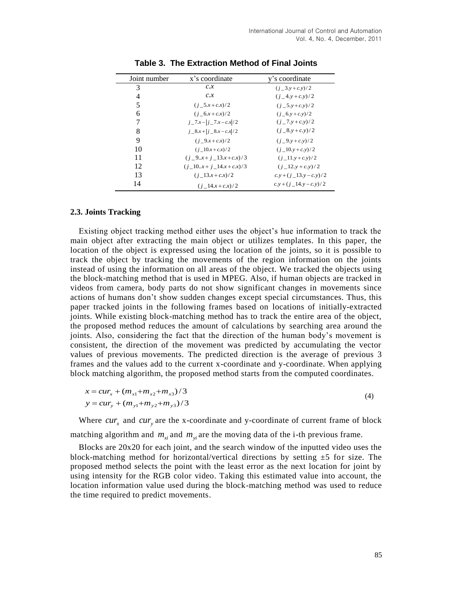| Joint number | x's coordinate                   | y's coordinate               |  |
|--------------|----------------------------------|------------------------------|--|
| 3            | c.x                              | $(j_3. y + c. y)/2$          |  |
| 4            | c.x                              | $(i_4v+c_5)/2$               |  |
| 5            | $(i \ 5.x + c.x)/2$              | $(i \ 5.y+c.y)/2$            |  |
| 6            | $(i \ 6x+c x)/2$                 | $(i \ 6.y + c.y)/2$          |  |
| 7            | $j_{-}7.x -  j_{-}7.x - c.x /2$  | $(j_{-}7.y + c.y)/2$         |  |
| 8            | $j = 8x +  j = 8x - c.x /2$      | $(i \ 8.y + c.y)/2$          |  |
| 9            | $(i \ 9x+c x)/2$                 | $(j_9. y + c. y)/2$          |  |
| 10           | $(i \ 10.x + c.x)/2$             | $(i \ 10.y + c.y)/2$         |  |
| 11           | $(i \ 9.x + i \ 13.x + c.x)/3$   | $(i \ 11. y + c. y)/2$       |  |
| 12           | $(i_{-}10x + i_{-}14.x + c.x)/3$ | $(i \ 12. y + c. y)/2$       |  |
| 13           | $(i \ 13x+c \ x)/2$              | $c.y + (i_1 + 13.y - c.y)/2$ |  |
| 14           | $(i \ 14.x + c.x)/2$             | $c.y + (j_14.y - c.y)/2$     |  |

**Table 3. The Extraction Method of Final Joints**

#### **2.3. Joints Tracking**

Existing object tracking method either uses the object's hue information to track the main object after extracting the main object or utilizes templates. In this paper, the location of the object is expressed using the location of the joints, so it is possible to track the object by tracking the movements of the region information on the joints instead of using the information on all areas of the object. We tracked the objects using the block-matching method that is used in MPEG. Also, if human objects are tracked in videos from camera, body parts do not show significant changes in movements since actions of humans don't show sudden changes except special circumstances. Thus, this paper tracked joints in the following frames based on locations of initially-extracted joints. While existing block-matching method has to track the entire area of the object, the proposed method reduces the amount of calculations by searching area around the joints. Also, considering the fact that the direction of the human body's movement is consistent, the direction of the movement was predicted by accumulating the vector values of previous movements. The predicted direction is the average of previous 3 frames and the values add to the current x-coordinate and y-coordinate. When applying block matching algorithm, the proposed method starts from the computed coordinates.

$$
x = cur_x + (m_{x1} + m_{x2} + m_{x3})/3
$$
  
\n
$$
y = cur_y + (m_{y1} + m_{y2} + m_{y3})/3
$$
\n(4)

Where  $cur_x$  and  $cur_y$  are the x-coordinate and y-coordinate of current frame of block matching algorithm and  $m_{xi}$  and  $m_{yi}$  are the moving data of the i-th previous frame.

Blocks are 20x20 for each joint, and the search window of the inputted video uses the block-matching method for horizontal/vertical directions by setting  $\pm 5$  for size. The proposed method selects the point with the least error as the next location for joint by using intensity for the RGB color video. Taking this estimated value into account, the location information value used during the block-matching method was used to reduce the time required to predict movements.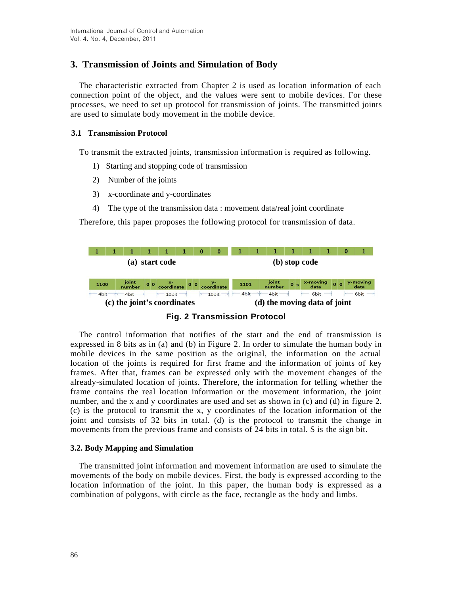# **3. Transmission of Joints and Simulation of Body**

The characteristic extracted from Chapter 2 is used as location information of each connection point of the object, and the values were sent to mobile devices. For these processes, we need to set up protocol for transmission of joints. The transmitted joints are used to simulate body movement in the mobile device.

### **3.1 Transmission Protocol**

To transmit the extracted joints, transmission information is required as following.

- 1) Starting and stopping code of transmission
- 2) Number of the joints
- 3) x-coordinate and y-coordinates
- 4) The type of the transmission data : movement data/real joint coordinate

Therefore, this paper proposes the following protocol for transmission of data.





The control information that notifies of the start and the end of transmission is expressed in 8 bits as in (a) and (b) in Figure 2. In order to simulate the human body in mobile devices in the same position as the original, the information on the actual location of the joints is required for first frame and the information of joints of key frames. After that, frames can be expressed only with the movement changes of the already-simulated location of joints. Therefore, the information for telling whether the frame contains the real location information or the movement information, the joint number, and the x and y coordinates are used and set as shown in (c) and (d) in figure 2. (c) is the protocol to transmit the x, y coordinates of the location information of the joint and consists of 32 bits in total. (d) is the protocol to transmit the change in movements from the previous frame and consists of 24 bits in total. S is the sign bit.

#### **3.2. Body Mapping and Simulation**

The transmitted joint information and movement information are used to simulate the movements of the body on mobile devices. First, the body is expressed according to the location information of the joint. In this paper, the human body is expressed as a combination of polygons, with circle as the face, rectangle as the body and limbs.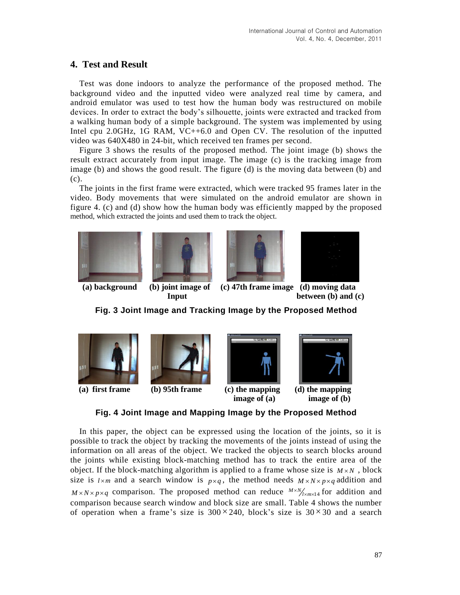# **4. Test and Result**

Test was done indoors to analyze the performance of the proposed method. The background video and the inputted video were analyzed real time by camera, and android emulator was used to test how the human body was restructured on mobile devices. In order to extract the body's silhouette, joints were extracted and tracked from a walking human body of a simple background. The system was implemented by using Intel cpu 2.0GHz, 1G RAM, VC++6.0 and Open CV. The resolution of the inputted video was 640X480 in 24-bit, which received ten frames per second.

Figure 3 shows the results of the proposed method. The joint image (b) shows the result extract accurately from input image. The image (c) is the tracking image from image (b) and shows the good result. The figure (d) is the moving data between (b) and (c).

The joints in the first frame were extracted, which were tracked 95 frames later in the video. Body movements that were simulated on the android emulator are shown in figure 4. (c) and (d) show how the human body was efficiently mapped by the proposed method, which extracted the joints and used them to track the object.









**(a) background (b) joint image of (c) 47th frame image (d) moving data Input** between (b) and (c)

**Fig. 3 Joint Image and Tracking Image by the Proposed Method**



**Fig. 4 Joint Image and Mapping Image by the Proposed Method**

In this paper, the object can be expressed using the location of the joints, so it is possible to track the object by tracking the movements of the joints instead of using the information on all areas of the object. We tracked the objects to search blocks around the joints while existing block-matching method has to track the entire area of the object. If the block-matching algorithm is applied to a frame whose size is  $M \times N$ , block size is  $l \times m$  and a search window is  $p \times q$ , the method needs  $M \times N \times p \times q$  addition and  $M \times N \times p \times q$  comparison. The proposed method can reduce  $M \times N/_{\text{max14}}$  for addition and comparison because search window and block size are small. Table 4 shows the number of operation when a frame's size is  $300 \times 240$ , block's size is  $30 \times 30$  and a search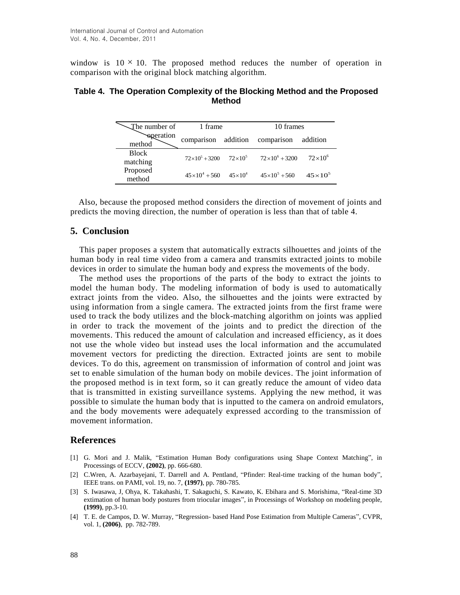window is  $10 \times 10$ . The proposed method reduces the number of operation in comparison with the original block matching algorithm.

### **Table 4. The Operation Complexity of the Blocking Method and the Proposed Method**

| The number of            | 1 frame                                 |  | 10 frames               |                    |
|--------------------------|-----------------------------------------|--|-------------------------|--------------------|
| speration<br>method      | comparison addition comparison          |  |                         | addition           |
| <b>Block</b><br>matching | $72\times10^5 + 3200$ $72\times10^5$    |  | $72\times10^{6} + 3200$ | $72\times10^{6}$   |
| Proposed<br>method       | $45 \times 10^4 + 560$ $45 \times 10^4$ |  | $45\times10^{5} + 560$  | $45 \times 10^{5}$ |

Also, because the proposed method considers the direction of movement of joints and predicts the moving direction, the number of operation is less than that of table 4.

## **5. Conclusion**

This paper proposes a system that automatically extracts silhouettes and joints of the human body in real time video from a camera and transmits extracted joints to mobile devices in order to simulate the human body and express the movements of the body.

The method uses the proportions of the parts of the body to extract the joints to model the human body. The modeling information of body is used to automatically extract joints from the video. Also, the silhouettes and the joints were extracted by using information from a single camera. The extracted joints from the first frame were used to track the body utilizes and the block-matching algorithm on joints was applied in order to track the movement of the joints and to predict the direction of the movements. This reduced the amount of calculation and increased efficiency, as it does not use the whole video but instead uses the local information and the accumulated movement vectors for predicting the direction. Extracted joints are sent to mobile devices. To do this, agreement on transmission of information of control and joint was set to enable simulation of the human body on mobile devices. The joint information of the proposed method is in text form, so it can greatly reduce the amount of video data that is transmitted in existing surveillance systems. Applying the new method, it was possible to simulate the human body that is inputted to the camera on android emulators, and the body movements were adequately expressed according to the transmission of movement information.

#### **References**

- [1] G. Mori and J. Malik, "Estimation Human Body configurations using Shape Context Matching", in Processings of ECCV, **(2002)**, pp. 666-680.
- [2] C.Wren, A. Azarbayejani, T. Darrell and A. Pentland, "Pfinder: Real-time tracking of the human body", IEEE trans. on PAMI, vol. 19, no. 7, **(1997)**, pp. 780-785.
- [3] S. Iwasawa, J, Ohya, K. Takahashi, T. Sakaguchi, S. Kawato, K. Ebihara and S. Morishima, "Real-time 3D extimation of human body postures from triocular images", in Processings of Workshop on modeling people, **(1999)**, pp.3-10.
- [4] T. E. de Campos, D. W. Murray, "Regression- based Hand Pose Estimation from Multiple Cameras", CVPR, vol. 1, **(2006)**, pp. 782-789.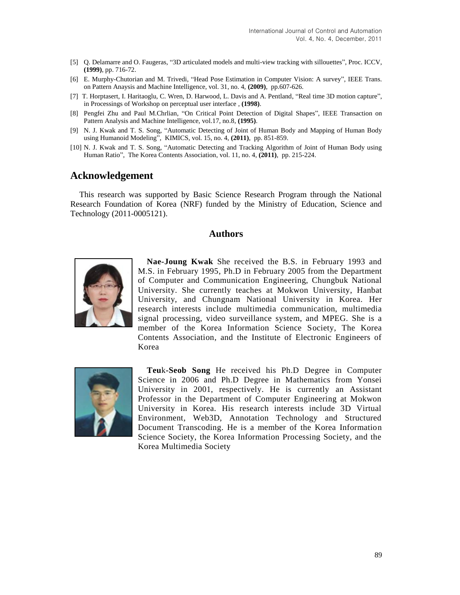- [5] Q. Delamarre and O. Faugeras, "3D articulated models and multi-view tracking with sillouettes", Proc. ICCV, **(1999)**, pp. 716-72.
- [6] E. Murphy-Chutorian and M. Trivedi, "Head Pose Estimation in Computer Vision: A survey", IEEE Trans. on Pattern Anaysis and Machine Intelligence, vol. 31, no. 4, **(2009)**, pp.607-626.
- [7] T. Horptasert, I. Haritaoglu, C. Wren, D. Harwood, L. Davis and A. Pentland, "Real time 3D motion capture", in Processings of Workshop on perceptual user interface , **(1998)**.
- [8] Pengfei Zhu and Paul M.Chrlian, "On Critical Point Detection of Digital Shapes", IEEE Transaction on Pattern Analysis and Machine Intelligence, vol.17, no.8, **(1995)**.
- [9] N. J. Kwak and T. S. Song, "Automatic Detecting of Joint of Human Body and Mapping of Human Body using Humanoid Modeling", KIMICS, vol. 15, no. 4, **(2011)**, pp. 851-859.
- [10] N. J. Kwak and T. S. Song, "Automatic Detecting and Tracking Algorithm of Joint of Human Body using Human Ratio", The Korea Contents Association, vol. 11, no. 4, **(2011)**, pp. 215-224.

## **Acknowledgement**

This research was supported by Basic Science Research Program through the National Research Foundation of Korea (NRF) funded by the Ministry of Education, Science and Technology (2011-0005121).

### **Authors**



**Nae-Joung Kwak** She received the B.S. in February 1993 and M.S. in February 1995, Ph.D in February 2005 from the Department of Computer and Communication Engineering, Chungbuk National University. She currently teaches at Mokwon University, Hanbat University, and Chungnam National University in Korea. Her research interests include multimedia communication, multimedia signal processing, video surveillance system, and MPEG. She is a member of the Korea Information Science Society, The Korea Contents Association, and the Institute of Electronic Engineers of Korea



**Teu**k**-Seob Song** He received his Ph.D Degree in Computer Science in 2006 and Ph.D Degree in Mathematics from Yonsei University in 2001, respectively. He is currently an Assistant Professor in the Department of Computer Engineering at Mokwon University in Korea. His research interests include 3D Virtual Environment, Web3D, Annotation Technology and Structured Document Transcoding. He is a member of the Korea Information Science Society, the Korea Information Processing Society, and the Korea Multimedia Society